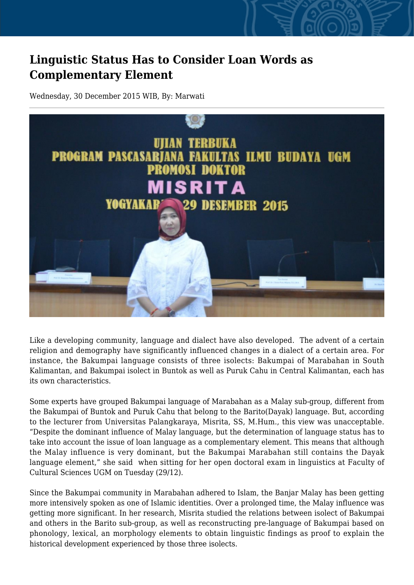## **Linguistic Status Has to Consider Loan Words as Complementary Element**

Wednesday, 30 December 2015 WIB, By: Marwati



Like a developing community, language and dialect have also developed. The advent of a certain religion and demography have significantly influenced changes in a dialect of a certain area. For instance, the Bakumpai language consists of three isolects: Bakumpai of Marabahan in South Kalimantan, and Bakumpai isolect in Buntok as well as Puruk Cahu in Central Kalimantan, each has its own characteristics.

Some experts have grouped Bakumpai language of Marabahan as a Malay sub-group, different from the Bakumpai of Buntok and Puruk Cahu that belong to the Barito(Dayak) language. But, according to the lecturer from Universitas Palangkaraya, Misrita, SS, M.Hum., this view was unacceptable. "Despite the dominant influence of Malay language, but the determination of language status has to take into account the issue of loan language as a complementary element. This means that although the Malay influence is very dominant, but the Bakumpai Marabahan still contains the Dayak language element," she said when sitting for her open doctoral exam in linguistics at Faculty of Cultural Sciences UGM on Tuesday (29/12).

Since the Bakumpai community in Marabahan adhered to Islam, the Banjar Malay has been getting more intensively spoken as one of Islamic identities. Over a prolonged time, the Malay influence was getting more significant. In her research, Misrita studied the relations between isolect of Bakumpai and others in the Barito sub-group, as well as reconstructing pre-language of Bakumpai based on phonology, lexical, an morphology elements to obtain linguistic findings as proof to explain the historical development experienced by those three isolects.